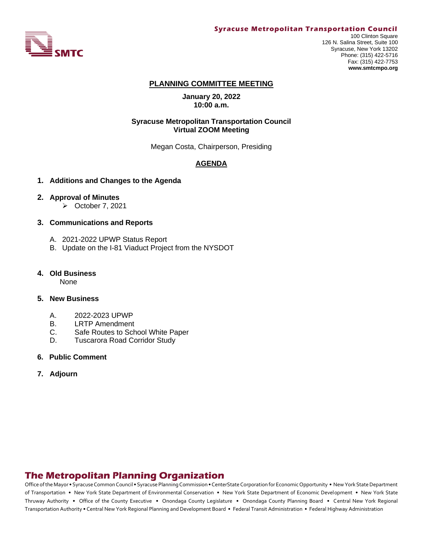

#### **Syracuse Metropolitan Transportation Council**

100 Clinton Square 126 N. Salina Street, Suite 100 Syracuse, New York 13202 Phone: (315) 422-5716 Fax: (315) 422-7753 **www.smtcmpo.org**

#### **PLANNING COMMITTEE MEETING**

**January 20, 2022 10:00 a.m.**

### **Syracuse Metropolitan Transportation Council Virtual ZOOM Meeting**

Megan Costa, Chairperson, Presiding

### **AGENDA**

#### **1. Additions and Changes to the Agenda**

#### **2. Approval of Minutes**

➢ October 7, 2021

#### **3. Communications and Reports**

- A. 2021-2022 UPWP Status Report
- B. Update on the I-81 Viaduct Project from the NYSDOT

#### **4. Old Business**

None

### **5. New Business**

- A. 2022-2023 UPWP
- B. LRTP Amendment
- C. Safe Routes to School White Paper
- D. Tuscarora Road Corridor Study
- **6. Public Comment**
- **7. Adjourn**

# **The Metropolitan Planning Organization**

Office of the Mayor • Syracuse Common Council • Syracuse Planning Commission • CenterState Corporation for Economic Opportunity • New York State Department of Transportation • New York State Department of Environmental Conservation • New York State Department of Economic Development • New York State Thruway Authority • Office of the County Executive • Onondaga County Legislature • Onondaga County Planning Board • Central New York Regional Transportation Authority • Central New York Regional Planning and Development Board • Federal Transit Administration • Federal Highway Administration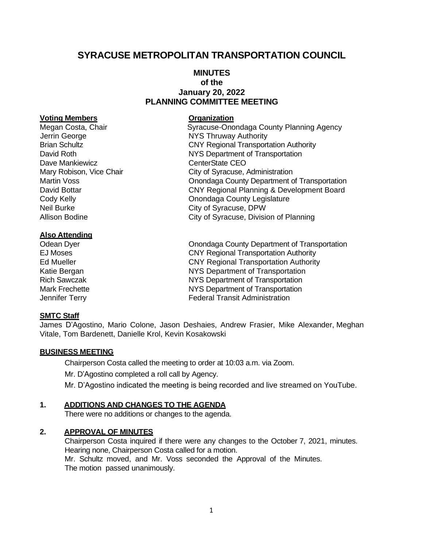# **SYRACUSE METROPOLITAN TRANSPORTATION COUNCIL**

# **MINUTES of the January 20, 2022 PLANNING COMMITTEE MEETING**

### **Voting Members Organization**

Jerrin George **NYS Thruway Authority** Dave Mankiewicz and CenterState CEO Neil Burke **City of Syracuse, DPW** 

### **Also Attending**

## **SMTC Staff**

Megan Costa, Chair **Syracuse-Onondaga County Planning Agency** Brian Schultz **CNY Regional Transportation Authority** David Roth NYS Department of Transportation Mary Robison, Vice Chair **City of Syracuse, Administration** Martin Voss Onondaga County Department of Transportation David Bottar **CNY Regional Planning & Development Board Cody Kelly Cody Kelly** Cody Kelly County Legislature Allison Bodine City of Syracuse, Division of Planning

Odean Dyer Onondaga County Department of Transportation EJ Moses CNY Regional Transportation Authority Ed Mueller CNY Regional Transportation Authority Katie Bergan NYS Department of Transportation Rich Sawczak NYS Department of Transportation Mark Frechette **NYS** Department of Transportation Jennifer Terry Federal Transit Administration

James D'Agostino, Mario Colone, Jason Deshaies, Andrew Frasier, Mike Alexander, Meghan Vitale, Tom Bardenett, Danielle Krol, Kevin Kosakowski

### **BUSINESS MEETING**

Chairperson Costa called the meeting to order at 10:03 a.m. via Zoom. Mr. D'Agostino completed a roll call by Agency. Mr. D'Agostino indicated the meeting is being recorded and live streamed on YouTube.

### **1. ADDITIONS AND CHANGES TO THE AGENDA**

There were no additions or changes to the agenda.

### **2. APPROVAL OF MINUTES**

Chairperson Costa inquired if there were any changes to the October 7, 2021, minutes. Hearing none, Chairperson Costa called for a motion. Mr. Schultz moved, and Mr. Voss seconded the Approval of the Minutes. The motion passed unanimously.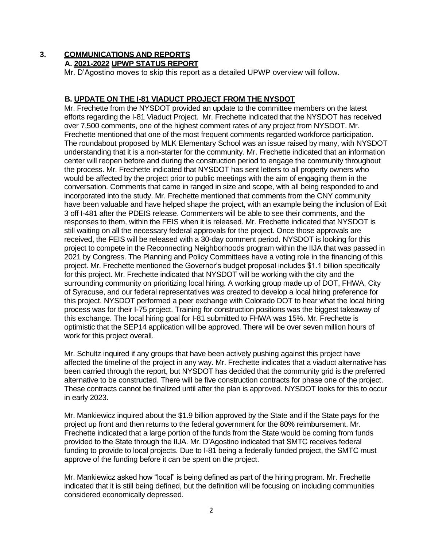# **3. COMMUNICATIONS AND REPORTS**

# **A. 2021-2022 UPWP STATUS REPORT**

Mr. D'Agostino moves to skip this report as a detailed UPWP overview will follow.

# **B. UPDATE ON THE I-81 VIADUCT PROJECT FROM THE NYSDOT**

Mr. Frechette from the NYSDOT provided an update to the committee members on the latest efforts regarding the I-81 Viaduct Project. Mr. Frechette indicated that the NYSDOT has received over 7,500 comments, one of the highest comment rates of any project from NYSDOT. Mr. Frechette mentioned that one of the most frequent comments regarded workforce participation. The roundabout proposed by MLK Elementary School was an issue raised by many, with NYSDOT understanding that it is a non-starter for the community. Mr. Frechette indicated that an information center will reopen before and during the construction period to engage the community throughout the process. Mr. Frechette indicated that NYSDOT has sent letters to all property owners who would be affected by the project prior to public meetings with the aim of engaging them in the conversation. Comments that came in ranged in size and scope, with all being responded to and incorporated into the study. Mr. Frechette mentioned that comments from the CNY community have been valuable and have helped shape the project, with an example being the inclusion of Exit 3 off I-481 after the PDEIS release. Commenters will be able to see their comments, and the responses to them, within the FEIS when it is released. Mr. Frechette indicated that NYSDOT is still waiting on all the necessary federal approvals for the project. Once those approvals are received, the FEIS will be released with a 30-day comment period. NYSDOT is looking for this project to compete in the Reconnecting Neighborhoods program within the IIJA that was passed in 2021 by Congress. The Planning and Policy Committees have a voting role in the financing of this project. Mr. Frechette mentioned the Governor's budget proposal includes \$1.1 billion specifically for this project. Mr. Frechette indicated that NYSDOT will be working with the city and the surrounding community on prioritizing local hiring. A working group made up of DOT, FHWA, City of Syracuse, and our federal representatives was created to develop a local hiring preference for this project. NYSDOT performed a peer exchange with Colorado DOT to hear what the local hiring process was for their I-75 project. Training for construction positions was the biggest takeaway of this exchange. The local hiring goal for I-81 submitted to FHWA was 15%. Mr. Frechette is optimistic that the SEP14 application will be approved. There will be over seven million hours of work for this project overall.

Mr. Schultz inquired if any groups that have been actively pushing against this project have affected the timeline of the project in any way. Mr. Frechette indicates that a viaduct alternative has been carried through the report, but NYSDOT has decided that the community grid is the preferred alternative to be constructed. There will be five construction contracts for phase one of the project. These contracts cannot be finalized until after the plan is approved. NYSDOT looks for this to occur in early 2023.

Mr. Mankiewicz inquired about the \$1.9 billion approved by the State and if the State pays for the project up front and then returns to the federal government for the 80% reimbursement. Mr. Frechette indicated that a large portion of the funds from the State would be coming from funds provided to the State through the IIJA. Mr. D'Agostino indicated that SMTC receives federal funding to provide to local projects. Due to I-81 being a federally funded project, the SMTC must approve of the funding before it can be spent on the project.

Mr. Mankiewicz asked how "local" is being defined as part of the hiring program. Mr. Frechette indicated that it is still being defined, but the definition will be focusing on including communities considered economically depressed.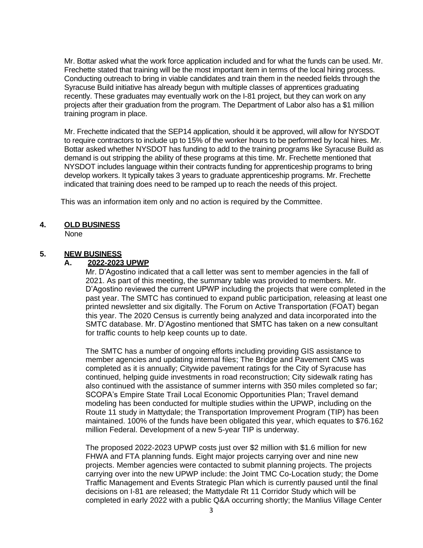Mr. Bottar asked what the work force application included and for what the funds can be used. Mr. Frechette stated that training will be the most important item in terms of the local hiring process. Conducting outreach to bring in viable candidates and train them in the needed fields through the Syracuse Build initiative has already begun with multiple classes of apprentices graduating recently. These graduates may eventually work on the I-81 project, but they can work on any projects after their graduation from the program. The Department of Labor also has a \$1 million training program in place.

Mr. Frechette indicated that the SEP14 application, should it be approved, will allow for NYSDOT to require contractors to include up to 15% of the worker hours to be performed by local hires. Mr. Bottar asked whether NYSDOT has funding to add to the training programs like Syracuse Build as demand is out stripping the ability of these programs at this time. Mr. Frechette mentioned that NYSDOT includes language within their contracts funding for apprenticeship programs to bring develop workers. It typically takes 3 years to graduate apprenticeship programs. Mr. Frechette indicated that training does need to be ramped up to reach the needs of this project.

This was an information item only and no action is required by the Committee.

# **4. OLD BUSINESS**

None

# **5. NEW BUSINESS**

### **A. 2022-2023 UPWP**

Mr. D'Agostino indicated that a call letter was sent to member agencies in the fall of 2021. As part of this meeting, the summary table was provided to members. Mr. D'Agostino reviewed the current UPWP including the projects that were completed in the past year. The SMTC has continued to expand public participation, releasing at least one printed newsletter and six digitally. The Forum on Active Transportation (FOAT) began this year. The 2020 Census is currently being analyzed and data incorporated into the SMTC database. Mr. D'Agostino mentioned that SMTC has taken on a new consultant for traffic counts to help keep counts up to date.

The SMTC has a number of ongoing efforts including providing GIS assistance to member agencies and updating internal files; The Bridge and Pavement CMS was completed as it is annually; Citywide pavement ratings for the City of Syracuse has continued, helping guide investments in road reconstruction; City sidewalk rating has also continued with the assistance of summer interns with 350 miles completed so far; SCOPA's Empire State Trail Local Economic Opportunities Plan; Travel demand modeling has been conducted for multiple studies within the UPWP, including on the Route 11 study in Mattydale; the Transportation Improvement Program (TIP) has been maintained. 100% of the funds have been obligated this year, which equates to \$76.162 million Federal. Development of a new 5-year TIP is underway.

The proposed 2022-2023 UPWP costs just over \$2 million with \$1.6 million for new FHWA and FTA planning funds. Eight major projects carrying over and nine new projects. Member agencies were contacted to submit planning projects. The projects carrying over into the new UPWP include: the Joint TMC Co-Location study; the Dome Traffic Management and Events Strategic Plan which is currently paused until the final decisions on I-81 are released; the Mattydale Rt 11 Corridor Study which will be completed in early 2022 with a public Q&A occurring shortly; the Manlius Village Center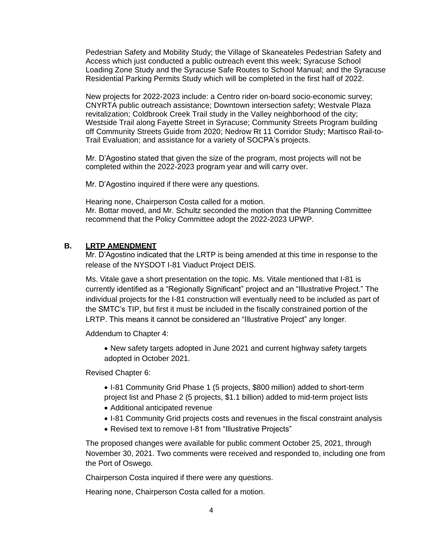Pedestrian Safety and Mobility Study; the Village of Skaneateles Pedestrian Safety and Access which just conducted a public outreach event this week; Syracuse School Loading Zone Study and the Syracuse Safe Routes to School Manual; and the Syracuse Residential Parking Permits Study which will be completed in the first half of 2022.

New projects for 2022-2023 include: a Centro rider on-board socio-economic survey; CNYRTA public outreach assistance; Downtown intersection safety; Westvale Plaza revitalization; Coldbrook Creek Trail study in the Valley neighborhood of the city; Westside Trail along Fayette Street in Syracuse; Community Streets Program building off Community Streets Guide from 2020; Nedrow Rt 11 Corridor Study; Martisco Rail-to-Trail Evaluation; and assistance for a variety of SOCPA's projects.

Mr. D'Agostino stated that given the size of the program, most projects will not be completed within the 2022-2023 program year and will carry over.

Mr. D'Agostino inquired if there were any questions.

Hearing none, Chairperson Costa called for a motion. Mr. Bottar moved, and Mr. Schultz seconded the motion that the Planning Committee recommend that the Policy Committee adopt the 2022-2023 UPWP.

### **B. LRTP AMENDMENT**

Mr. D'Agostino indicated that the LRTP is being amended at this time in response to the release of the NYSDOT I-81 Viaduct Project DEIS.

Ms. Vitale gave a short presentation on the topic. Ms. Vitale mentioned that I-81 is currently identified as a "Regionally Significant" project and an "Illustrative Project." The individual projects for the I-81 construction will eventually need to be included as part of the SMTC's TIP, but first it must be included in the fiscally constrained portion of the LRTP. This means it cannot be considered an "Illustrative Project" any longer.

Addendum to Chapter 4:

• New safety targets adopted in June 2021 and current highway safety targets adopted in October 2021.

Revised Chapter 6:

- I-81 Community Grid Phase 1 (5 projects, \$800 million) added to short-term project list and Phase 2 (5 projects, \$1.1 billion) added to mid-term project lists
- Additional anticipated revenue
- I-81 Community Grid projects costs and revenues in the fiscal constraint analysis
- Revised text to remove I-81 from "Illustrative Projects"

The proposed changes were available for public comment October 25, 2021, through November 30, 2021. Two comments were received and responded to, including one from the Port of Oswego.

Chairperson Costa inquired if there were any questions.

Hearing none, Chairperson Costa called for a motion.